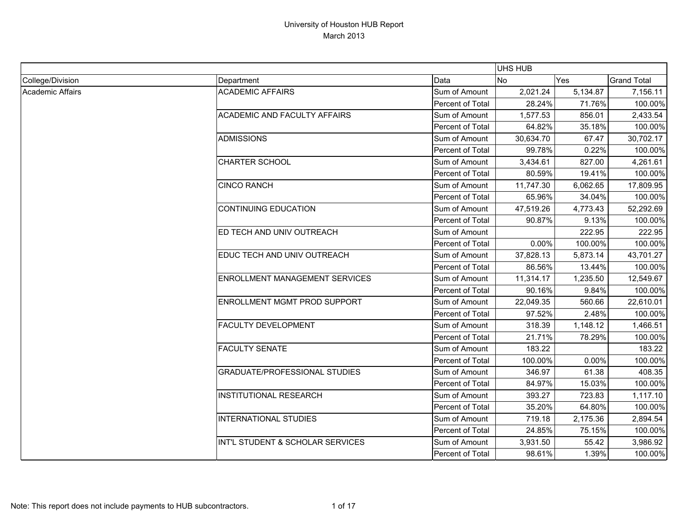|                  |                                       |                  | UHS HUB   |          |                    |
|------------------|---------------------------------------|------------------|-----------|----------|--------------------|
| College/Division | Department                            | Data             | <b>No</b> | Yes      | <b>Grand Total</b> |
| Academic Affairs | <b>ACADEMIC AFFAIRS</b>               | Sum of Amount    | 2,021.24  | 5,134.87 | 7,156.11           |
|                  |                                       | Percent of Total | 28.24%    | 71.76%   | 100.00%            |
|                  | <b>ACADEMIC AND FACULTY AFFAIRS</b>   | Sum of Amount    | 1,577.53  | 856.01   | 2,433.54           |
|                  |                                       | Percent of Total | 64.82%    | 35.18%   | 100.00%            |
|                  | <b>ADMISSIONS</b>                     | Sum of Amount    | 30,634.70 | 67.47    | 30,702.17          |
|                  |                                       | Percent of Total | 99.78%    | 0.22%    | 100.00%            |
|                  | <b>CHARTER SCHOOL</b>                 | Sum of Amount    | 3,434.61  | 827.00   | 4,261.61           |
|                  |                                       | Percent of Total | 80.59%    | 19.41%   | 100.00%            |
|                  | <b>CINCO RANCH</b>                    | Sum of Amount    | 11,747.30 | 6,062.65 | 17,809.95          |
|                  |                                       | Percent of Total | 65.96%    | 34.04%   | 100.00%            |
|                  | <b>CONTINUING EDUCATION</b>           | Sum of Amount    | 47,519.26 | 4,773.43 | 52,292.69          |
|                  |                                       | Percent of Total | 90.87%    | 9.13%    | 100.00%            |
|                  | ED TECH AND UNIV OUTREACH             | Sum of Amount    |           | 222.95   | 222.95             |
|                  |                                       | Percent of Total | 0.00%     | 100.00%  | 100.00%            |
|                  | EDUC TECH AND UNIV OUTREACH           | Sum of Amount    | 37,828.13 | 5,873.14 | 43,701.27          |
|                  |                                       | Percent of Total | 86.56%    | 13.44%   | 100.00%            |
|                  | <b>ENROLLMENT MANAGEMENT SERVICES</b> | Sum of Amount    | 11,314.17 | 1,235.50 | 12,549.67          |
|                  |                                       | Percent of Total | 90.16%    | 9.84%    | 100.00%            |
|                  | ENROLLMENT MGMT PROD SUPPORT          | Sum of Amount    | 22,049.35 | 560.66   | 22,610.01          |
|                  |                                       | Percent of Total | 97.52%    | 2.48%    | 100.00%            |
|                  | <b>FACULTY DEVELOPMENT</b>            | Sum of Amount    | 318.39    | 1,148.12 | 1,466.51           |
|                  |                                       | Percent of Total | 21.71%    | 78.29%   | 100.00%            |
|                  | <b>FACULTY SENATE</b>                 | Sum of Amount    | 183.22    |          | 183.22             |
|                  |                                       | Percent of Total | 100.00%   | 0.00%    | 100.00%            |
|                  | <b>GRADUATE/PROFESSIONAL STUDIES</b>  | Sum of Amount    | 346.97    | 61.38    | 408.35             |
|                  |                                       | Percent of Total | 84.97%    | 15.03%   | 100.00%            |
|                  | <b>INSTITUTIONAL RESEARCH</b>         | Sum of Amount    | 393.27    | 723.83   | 1,117.10           |
|                  |                                       | Percent of Total | 35.20%    | 64.80%   | 100.00%            |
|                  | <b>INTERNATIONAL STUDIES</b>          | Sum of Amount    | 719.18    | 2,175.36 | 2,894.54           |
|                  |                                       | Percent of Total | 24.85%    | 75.15%   | 100.00%            |
|                  | INT'L STUDENT & SCHOLAR SERVICES      | Sum of Amount    | 3,931.50  | 55.42    | 3,986.92           |
|                  |                                       | Percent of Total | 98.61%    | 1.39%    | 100.00%            |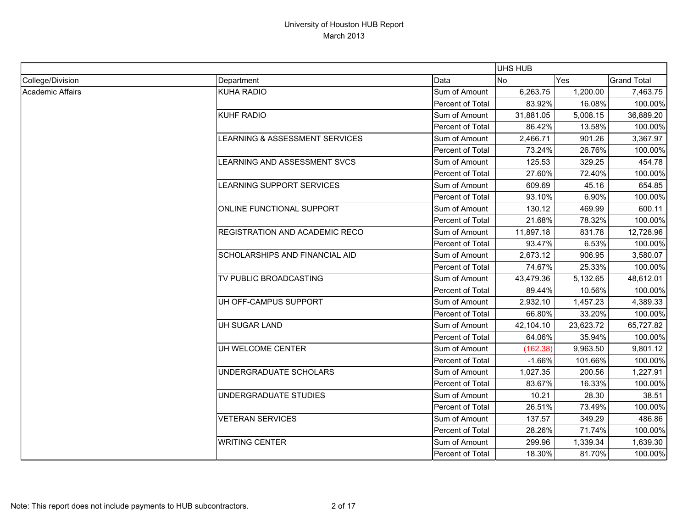|                  |                                       |                         | <b>UHS HUB</b> |           |                    |
|------------------|---------------------------------------|-------------------------|----------------|-----------|--------------------|
| College/Division | Department                            | Data                    | N <sub>o</sub> | Yes       | <b>Grand Total</b> |
| Academic Affairs | <b>KUHA RADIO</b>                     | Sum of Amount           | 6,263.75       | 1,200.00  | 7,463.75           |
|                  |                                       | Percent of Total        | 83.92%         | 16.08%    | 100.00%            |
|                  | KUHF RADIO                            | Sum of Amount           | 31,881.05      | 5,008.15  | 36,889.20          |
|                  |                                       | Percent of Total        | 86.42%         | 13.58%    | 100.00%            |
|                  | LEARNING & ASSESSMENT SERVICES        | Sum of Amount           | 2,466.71       | 901.26    | 3,367.97           |
|                  |                                       | Percent of Total        | 73.24%         | 26.76%    | 100.00%            |
|                  | LEARNING AND ASSESSMENT SVCS          | Sum of Amount           | 125.53         | 329.25    | 454.78             |
|                  |                                       | Percent of Total        | 27.60%         | 72.40%    | 100.00%            |
|                  | LEARNING SUPPORT SERVICES             | Sum of Amount           | 609.69         | 45.16     | 654.85             |
|                  |                                       | <b>Percent of Total</b> | 93.10%         | 6.90%     | 100.00%            |
|                  | <b>ONLINE FUNCTIONAL SUPPORT</b>      | Sum of Amount           | 130.12         | 469.99    | 600.11             |
|                  |                                       | Percent of Total        | 21.68%         | 78.32%    | 100.00%            |
|                  | <b>REGISTRATION AND ACADEMIC RECO</b> | Sum of Amount           | 11,897.18      | 831.78    | 12,728.96          |
|                  |                                       | Percent of Total        | 93.47%         | 6.53%     | 100.00%            |
|                  | <b>SCHOLARSHIPS AND FINANCIAL AID</b> | Sum of Amount           | 2,673.12       | 906.95    | 3,580.07           |
|                  |                                       | Percent of Total        | 74.67%         | 25.33%    | 100.00%            |
|                  | <b>TV PUBLIC BROADCASTING</b>         | Sum of Amount           | 43,479.36      | 5,132.65  | 48,612.01          |
|                  |                                       | Percent of Total        | 89.44%         | 10.56%    | 100.00%            |
|                  | UH OFF-CAMPUS SUPPORT                 | Sum of Amount           | 2,932.10       | 1,457.23  | 4,389.33           |
|                  |                                       | Percent of Total        | 66.80%         | 33.20%    | 100.00%            |
|                  | UH SUGAR LAND                         | Sum of Amount           | 42,104.10      | 23,623.72 | 65,727.82          |
|                  |                                       | Percent of Total        | 64.06%         | 35.94%    | 100.00%            |
|                  | UH WELCOME CENTER                     | Sum of Amount           | (162.38)       | 9,963.50  | 9,801.12           |
|                  |                                       | Percent of Total        | $-1.66%$       | 101.66%   | 100.00%            |
|                  | UNDERGRADUATE SCHOLARS                | Sum of Amount           | 1,027.35       | 200.56    | 1,227.91           |
|                  |                                       | Percent of Total        | 83.67%         | 16.33%    | 100.00%            |
|                  | UNDERGRADUATE STUDIES                 | Sum of Amount           | 10.21          | 28.30     | 38.51              |
|                  |                                       | Percent of Total        | 26.51%         | 73.49%    | 100.00%            |
|                  | <b>VETERAN SERVICES</b>               | Sum of Amount           | 137.57         | 349.29    | 486.86             |
|                  |                                       | Percent of Total        | 28.26%         | 71.74%    | 100.00%            |
|                  | <b>WRITING CENTER</b>                 | Sum of Amount           | 299.96         | 1,339.34  | 1,639.30           |
|                  |                                       | Percent of Total        | 18.30%         | 81.70%    | 100.00%            |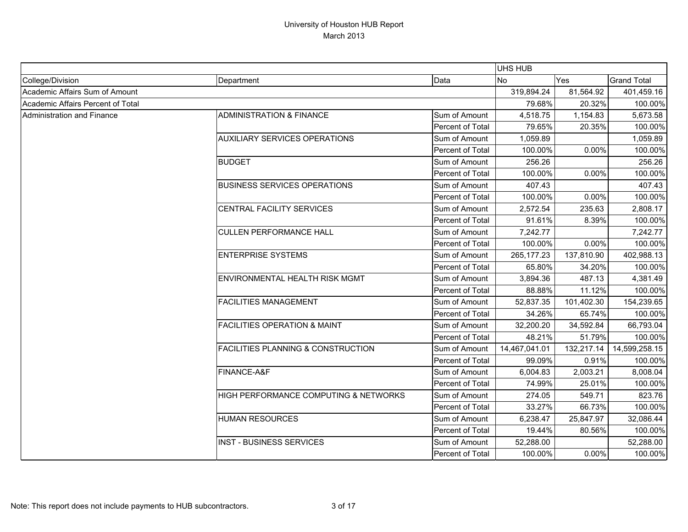|                                   |                                               |                  | UHS HUB       |            |                    |
|-----------------------------------|-----------------------------------------------|------------------|---------------|------------|--------------------|
| College/Division                  | Department                                    | Data             | <b>No</b>     | Yes        | <b>Grand Total</b> |
| Academic Affairs Sum of Amount    |                                               |                  | 319,894.24    | 81,564.92  | 401,459.16         |
| Academic Affairs Percent of Total |                                               |                  | 79.68%        | 20.32%     | 100.00%            |
| Administration and Finance        | <b>ADMINISTRATION &amp; FINANCE</b>           | Sum of Amount    | 4,518.75      | 1,154.83   | 5,673.58           |
|                                   |                                               | Percent of Total | 79.65%        | 20.35%     | 100.00%            |
|                                   | <b>AUXILIARY SERVICES OPERATIONS</b>          | Sum of Amount    | 1,059.89      |            | 1,059.89           |
|                                   |                                               | Percent of Total | 100.00%       | 0.00%      | 100.00%            |
|                                   | <b>BUDGET</b>                                 | Sum of Amount    | 256.26        |            | 256.26             |
|                                   |                                               | Percent of Total | 100.00%       | 0.00%      | 100.00%            |
|                                   | <b>BUSINESS SERVICES OPERATIONS</b>           | Sum of Amount    | 407.43        |            | 407.43             |
|                                   |                                               | Percent of Total | 100.00%       | 0.00%      | 100.00%            |
|                                   | <b>CENTRAL FACILITY SERVICES</b>              | Sum of Amount    | 2,572.54      | 235.63     | 2,808.17           |
|                                   |                                               | Percent of Total | 91.61%        | 8.39%      | 100.00%            |
|                                   | <b>CULLEN PERFORMANCE HALL</b>                | Sum of Amount    | 7,242.77      |            | 7,242.77           |
|                                   |                                               | Percent of Total | 100.00%       | 0.00%      | 100.00%            |
|                                   | <b>ENTERPRISE SYSTEMS</b>                     | Sum of Amount    | 265, 177.23   | 137,810.90 | 402,988.13         |
|                                   |                                               | Percent of Total | 65.80%        | 34.20%     | 100.00%            |
|                                   | <b>ENVIRONMENTAL HEALTH RISK MGMT</b>         | Sum of Amount    | 3,894.36      | 487.13     | 4,381.49           |
|                                   |                                               | Percent of Total | 88.88%        | 11.12%     | 100.00%            |
|                                   | <b>FACILITIES MANAGEMENT</b>                  | Sum of Amount    | 52,837.35     | 101,402.30 | 154,239.65         |
|                                   |                                               | Percent of Total | 34.26%        | 65.74%     | 100.00%            |
|                                   | <b>FACILITIES OPERATION &amp; MAINT</b>       | Sum of Amount    | 32,200.20     | 34,592.84  | 66,793.04          |
|                                   |                                               | Percent of Total | 48.21%        | 51.79%     | 100.00%            |
|                                   | <b>FACILITIES PLANNING &amp; CONSTRUCTION</b> | Sum of Amount    | 14,467,041.01 | 132,217.14 | 14,599,258.15      |
|                                   |                                               | Percent of Total | 99.09%        | 0.91%      | 100.00%            |
|                                   | FINANCE-A&F                                   | Sum of Amount    | 6,004.83      | 2,003.21   | 8,008.04           |
|                                   |                                               | Percent of Total | 74.99%        | 25.01%     | 100.00%            |
|                                   | HIGH PERFORMANCE COMPUTING & NETWORKS         | Sum of Amount    | 274.05        | 549.71     | 823.76             |
|                                   |                                               | Percent of Total | 33.27%        | 66.73%     | 100.00%            |
|                                   | <b>HUMAN RESOURCES</b>                        | Sum of Amount    | 6,238.47      | 25,847.97  | 32,086.44          |
|                                   |                                               | Percent of Total | 19.44%        | 80.56%     | 100.00%            |
|                                   | <b>INST - BUSINESS SERVICES</b>               | Sum of Amount    | 52,288.00     |            | 52,288.00          |
|                                   |                                               | Percent of Total | 100.00%       | 0.00%      | 100.00%            |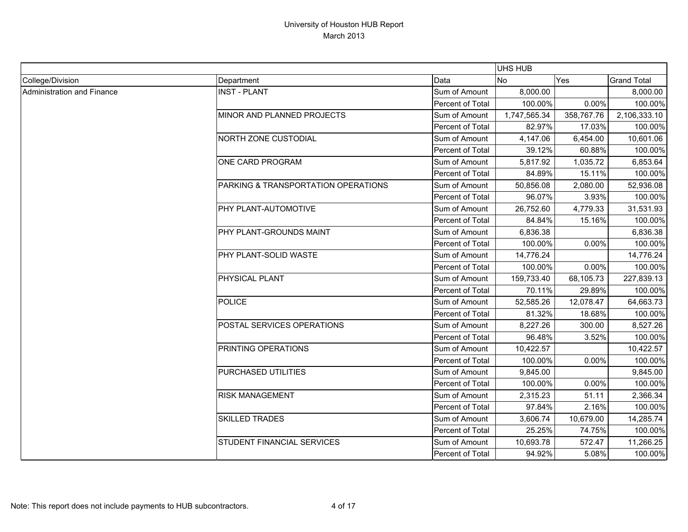|                            |                                     |                         | <b>UHS HUB</b> |            |                    |
|----------------------------|-------------------------------------|-------------------------|----------------|------------|--------------------|
| College/Division           | Department                          | Data                    | <b>No</b>      | Yes        | <b>Grand Total</b> |
| Administration and Finance | <b>INST - PLANT</b>                 | Sum of Amount           | 8,000.00       |            | 8,000.00           |
|                            |                                     | Percent of Total        | 100.00%        | 0.00%      | 100.00%            |
|                            | MINOR AND PLANNED PROJECTS          | Sum of Amount           | 1,747,565.34   | 358,767.76 | 2,106,333.10       |
|                            |                                     | Percent of Total        | 82.97%         | 17.03%     | 100.00%            |
|                            | <b>NORTH ZONE CUSTODIAL</b>         | Sum of Amount           | 4,147.06       | 6,454.00   | 10,601.06          |
|                            |                                     | Percent of Total        | 39.12%         | 60.88%     | 100.00%            |
|                            | <b>ONE CARD PROGRAM</b>             | Sum of Amount           | 5,817.92       | 1,035.72   | 6,853.64           |
|                            |                                     | Percent of Total        | 84.89%         | 15.11%     | 100.00%            |
|                            | PARKING & TRANSPORTATION OPERATIONS | Sum of Amount           | 50,856.08      | 2,080.00   | 52,936.08          |
|                            |                                     | Percent of Total        | 96.07%         | 3.93%      | 100.00%            |
|                            | PHY PLANT-AUTOMOTIVE                | Sum of Amount           | 26,752.60      | 4,779.33   | 31,531.93          |
|                            |                                     | Percent of Total        | 84.84%         | 15.16%     | 100.00%            |
|                            | PHY PLANT-GROUNDS MAINT             | Sum of Amount           | 6,836.38       |            | 6,836.38           |
|                            |                                     | Percent of Total        | 100.00%        | 0.00%      | 100.00%            |
|                            | PHY PLANT-SOLID WASTE               | Sum of Amount           | 14,776.24      |            | 14,776.24          |
|                            |                                     | Percent of Total        | 100.00%        | 0.00%      | 100.00%            |
|                            | PHYSICAL PLANT                      | Sum of Amount           | 159,733.40     | 68,105.73  | 227,839.13         |
|                            |                                     | Percent of Total        | 70.11%         | 29.89%     | 100.00%            |
|                            | <b>POLICE</b>                       | Sum of Amount           | 52,585.26      | 12,078.47  | 64,663.73          |
|                            |                                     | Percent of Total        | 81.32%         | 18.68%     | 100.00%            |
|                            | POSTAL SERVICES OPERATIONS          | Sum of Amount           | 8,227.26       | 300.00     | 8,527.26           |
|                            |                                     | <b>Percent of Total</b> | 96.48%         | 3.52%      | 100.00%            |
|                            | PRINTING OPERATIONS                 | Sum of Amount           | 10,422.57      |            | 10,422.57          |
|                            |                                     | Percent of Total        | 100.00%        | 0.00%      | 100.00%            |
|                            | PURCHASED UTILITIES                 | Sum of Amount           | 9,845.00       |            | 9,845.00           |
|                            |                                     | Percent of Total        | 100.00%        | 0.00%      | 100.00%            |
|                            | <b>RISK MANAGEMENT</b>              | Sum of Amount           | 2,315.23       | 51.11      | 2,366.34           |
|                            |                                     | Percent of Total        | 97.84%         | 2.16%      | 100.00%            |
|                            | <b>SKILLED TRADES</b>               | Sum of Amount           | 3,606.74       | 10,679.00  | 14,285.74          |
|                            |                                     | Percent of Total        | 25.25%         | 74.75%     | 100.00%            |
|                            | <b>STUDENT FINANCIAL SERVICES</b>   | Sum of Amount           | 10,693.78      | 572.47     | 11,266.25          |
|                            |                                     | Percent of Total        | 94.92%         | 5.08%      | 100.00%            |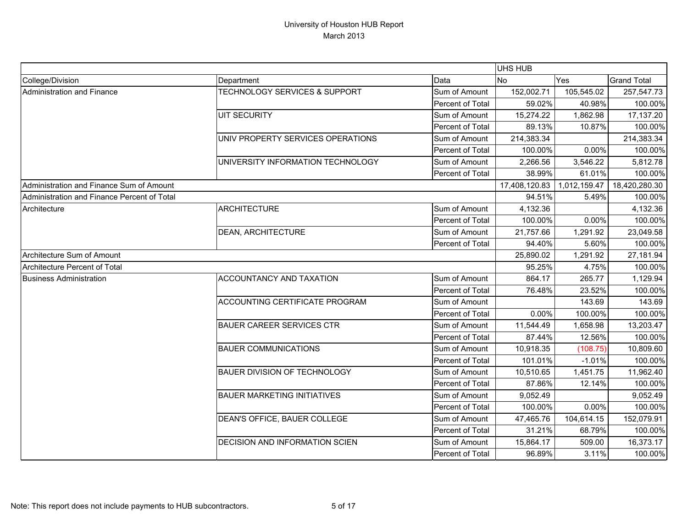|                                             |                                          |                  | UHS HUB       |              |                    |
|---------------------------------------------|------------------------------------------|------------------|---------------|--------------|--------------------|
| College/Division                            | Department                               | Data             | <b>No</b>     | Yes          | <b>Grand Total</b> |
| Administration and Finance                  | <b>TECHNOLOGY SERVICES &amp; SUPPORT</b> | Sum of Amount    | 152,002.71    | 105,545.02   | 257,547.73         |
|                                             |                                          | Percent of Total | 59.02%        | 40.98%       | 100.00%            |
|                                             | <b>UIT SECURITY</b>                      | Sum of Amount    | 15,274.22     | 1,862.98     | 17,137.20          |
|                                             |                                          | Percent of Total | 89.13%        | 10.87%       | 100.00%            |
|                                             | UNIV PROPERTY SERVICES OPERATIONS        | Sum of Amount    | 214,383.34    |              | 214,383.34         |
|                                             |                                          | Percent of Total | 100.00%       | 0.00%        | 100.00%            |
|                                             | UNIVERSITY INFORMATION TECHNOLOGY        | Sum of Amount    | 2,266.56      | 3,546.22     | 5,812.78           |
|                                             |                                          | Percent of Total | 38.99%        | 61.01%       | 100.00%            |
| Administration and Finance Sum of Amount    |                                          |                  | 17,408,120.83 | 1,012,159.47 | 18,420,280.30      |
| Administration and Finance Percent of Total |                                          |                  | 94.51%        | 5.49%        | 100.00%            |
| Architecture                                | <b>ARCHITECTURE</b>                      | Sum of Amount    | 4,132.36      |              | 4,132.36           |
|                                             |                                          | Percent of Total | 100.00%       | 0.00%        | 100.00%            |
|                                             | <b>DEAN, ARCHITECTURE</b>                | Sum of Amount    | 21,757.66     | 1,291.92     | 23,049.58          |
|                                             |                                          | Percent of Total | 94.40%        | 5.60%        | 100.00%            |
| Architecture Sum of Amount                  |                                          |                  | 25,890.02     | 1,291.92     | 27,181.94          |
| Architecture Percent of Total               |                                          |                  | 95.25%        | 4.75%        | 100.00%            |
| <b>Business Administration</b>              | ACCOUNTANCY AND TAXATION                 | Sum of Amount    | 864.17        | 265.77       | 1,129.94           |
|                                             |                                          | Percent of Total | 76.48%        | 23.52%       | 100.00%            |
|                                             | ACCOUNTING CERTIFICATE PROGRAM           | Sum of Amount    |               | 143.69       | 143.69             |
|                                             |                                          | Percent of Total | 0.00%         | 100.00%      | 100.00%            |
|                                             | <b>BAUER CAREER SERVICES CTR</b>         | Sum of Amount    | 11,544.49     | 1,658.98     | 13,203.47          |
|                                             |                                          | Percent of Total | 87.44%        | 12.56%       | 100.00%            |
|                                             | <b>BAUER COMMUNICATIONS</b>              | Sum of Amount    | 10,918.35     | (108.75)     | 10,809.60          |
|                                             |                                          | Percent of Total | 101.01%       | $-1.01%$     | 100.00%            |
|                                             | <b>BAUER DIVISION OF TECHNOLOGY</b>      | Sum of Amount    | 10,510.65     | 1,451.75     | 11,962.40          |
|                                             |                                          | Percent of Total | 87.86%        | 12.14%       | 100.00%            |
|                                             | <b>BAUER MARKETING INITIATIVES</b>       | Sum of Amount    | 9,052.49      |              | 9,052.49           |
|                                             |                                          | Percent of Total | 100.00%       | 0.00%        | 100.00%            |
|                                             | DEAN'S OFFICE, BAUER COLLEGE             | Sum of Amount    | 47,465.76     | 104,614.15   | 152,079.91         |
|                                             |                                          | Percent of Total | 31.21%        | 68.79%       | 100.00%            |
|                                             | DECISION AND INFORMATION SCIEN           | Sum of Amount    | 15,864.17     | 509.00       | 16,373.17          |
|                                             |                                          | Percent of Total | 96.89%        | 3.11%        | 100.00%            |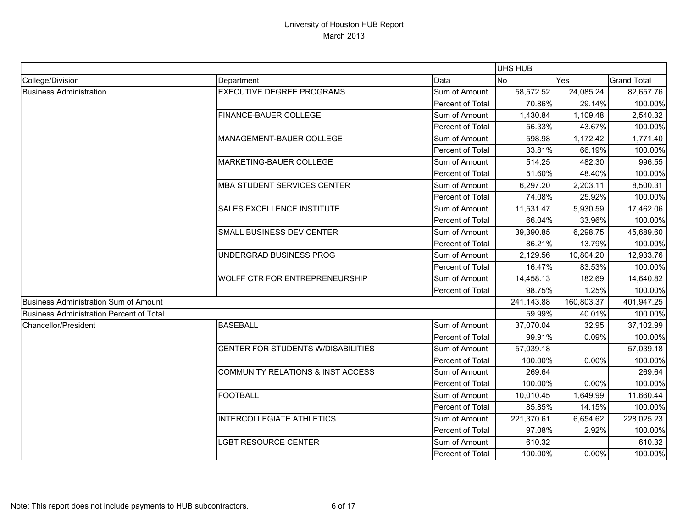|                                                 |                                              |                  | UHS HUB    |            |                    |
|-------------------------------------------------|----------------------------------------------|------------------|------------|------------|--------------------|
| College/Division                                | Department                                   | Data             | <b>No</b>  | Yes        | <b>Grand Total</b> |
| <b>Business Administration</b>                  | <b>EXECUTIVE DEGREE PROGRAMS</b>             | Sum of Amount    | 58,572.52  | 24,085.24  | 82,657.76          |
|                                                 |                                              | Percent of Total | 70.86%     | 29.14%     | 100.00%            |
|                                                 | <b>FINANCE-BAUER COLLEGE</b>                 | Sum of Amount    | 1,430.84   | 1,109.48   | 2,540.32           |
|                                                 |                                              | Percent of Total | 56.33%     | 43.67%     | 100.00%            |
|                                                 | MANAGEMENT-BAUER COLLEGE                     | Sum of Amount    | 598.98     | 1,172.42   | 1,771.40           |
|                                                 |                                              | Percent of Total | 33.81%     | 66.19%     | 100.00%            |
|                                                 | MARKETING-BAUER COLLEGE                      | Sum of Amount    | 514.25     | 482.30     | 996.55             |
|                                                 |                                              | Percent of Total | 51.60%     | 48.40%     | 100.00%            |
|                                                 | <b>MBA STUDENT SERVICES CENTER</b>           | Sum of Amount    | 6,297.20   | 2,203.11   | 8,500.31           |
|                                                 |                                              | Percent of Total | 74.08%     | 25.92%     | 100.00%            |
|                                                 | <b>SALES EXCELLENCE INSTITUTE</b>            | Sum of Amount    | 11,531.47  | 5,930.59   | 17,462.06          |
|                                                 |                                              | Percent of Total | 66.04%     | 33.96%     | 100.00%            |
|                                                 | <b>SMALL BUSINESS DEV CENTER</b>             | Sum of Amount    | 39,390.85  | 6,298.75   | 45,689.60          |
|                                                 |                                              | Percent of Total | 86.21%     | 13.79%     | 100.00%            |
|                                                 | UNDERGRAD BUSINESS PROG                      | Sum of Amount    | 2,129.56   | 10,804.20  | 12,933.76          |
|                                                 |                                              | Percent of Total | 16.47%     | 83.53%     | 100.00%            |
|                                                 | WOLFF CTR FOR ENTREPRENEURSHIP               | Sum of Amount    | 14,458.13  | 182.69     | 14,640.82          |
|                                                 |                                              | Percent of Total | 98.75%     | 1.25%      | 100.00%            |
| Business Administration Sum of Amount           |                                              |                  | 241,143.88 | 160,803.37 | 401,947.25         |
| <b>Business Administration Percent of Total</b> |                                              |                  | 59.99%     | 40.01%     | 100.00%            |
| <b>Chancellor/President</b>                     | <b>BASEBALL</b>                              | Sum of Amount    | 37,070.04  | 32.95      | 37,102.99          |
|                                                 |                                              | Percent of Total | 99.91%     | 0.09%      | 100.00%            |
|                                                 | CENTER FOR STUDENTS W/DISABILITIES           | Sum of Amount    | 57,039.18  |            | 57,039.18          |
|                                                 |                                              | Percent of Total | 100.00%    | 0.00%      | 100.00%            |
|                                                 | <b>COMMUNITY RELATIONS &amp; INST ACCESS</b> | Sum of Amount    | 269.64     |            | 269.64             |
|                                                 |                                              | Percent of Total | 100.00%    | 0.00%      | 100.00%            |
|                                                 | <b>FOOTBALL</b>                              | Sum of Amount    | 10,010.45  | 1,649.99   | 11,660.44          |
|                                                 |                                              | Percent of Total | 85.85%     | 14.15%     | 100.00%            |
|                                                 | <b>INTERCOLLEGIATE ATHLETICS</b>             | Sum of Amount    | 221,370.61 | 6,654.62   | 228,025.23         |
|                                                 |                                              | Percent of Total | 97.08%     | 2.92%      | 100.00%            |
|                                                 | <b>LGBT RESOURCE CENTER</b>                  | Sum of Amount    | 610.32     |            | 610.32             |
|                                                 |                                              | Percent of Total | 100.00%    | 0.00%      | 100.00%            |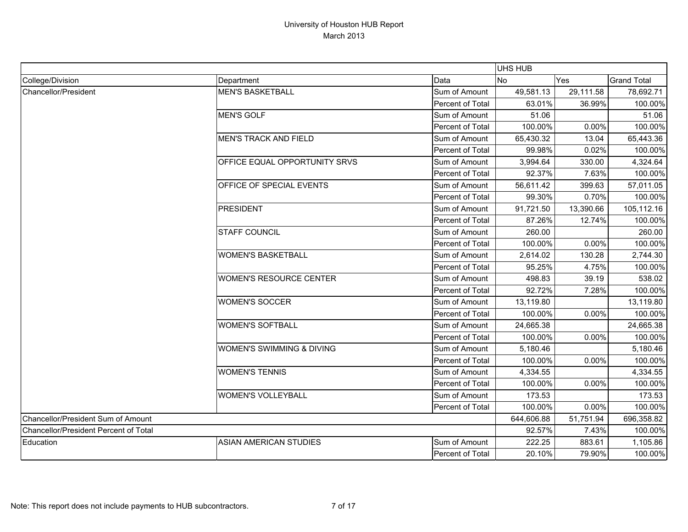|                                              |                                      |                  | <b>UHS HUB</b> |           |                    |
|----------------------------------------------|--------------------------------------|------------------|----------------|-----------|--------------------|
| College/Division                             | Department                           | Data             | N <sub>o</sub> | Yes       | <b>Grand Total</b> |
| Chancellor/President                         | <b>MEN'S BASKETBALL</b>              | Sum of Amount    | 49,581.13      | 29,111.58 | 78,692.71          |
|                                              |                                      | Percent of Total | 63.01%         | 36.99%    | 100.00%            |
|                                              | <b>MEN'S GOLF</b>                    | Sum of Amount    | 51.06          |           | 51.06              |
|                                              |                                      | Percent of Total | 100.00%        | 0.00%     | 100.00%            |
|                                              | <b>MEN'S TRACK AND FIELD</b>         | Sum of Amount    | 65,430.32      | 13.04     | 65,443.36          |
|                                              |                                      | Percent of Total | 99.98%         | 0.02%     | 100.00%            |
|                                              | OFFICE EQUAL OPPORTUNITY SRVS        | Sum of Amount    | 3,994.64       | 330.00    | 4,324.64           |
|                                              |                                      | Percent of Total | 92.37%         | 7.63%     | 100.00%            |
|                                              | OFFICE OF SPECIAL EVENTS             | Sum of Amount    | 56,611.42      | 399.63    | 57,011.05          |
|                                              |                                      | Percent of Total | 99.30%         | 0.70%     | 100.00%            |
|                                              | PRESIDENT                            | Sum of Amount    | 91,721.50      | 13,390.66 | 105,112.16         |
|                                              |                                      | Percent of Total | 87.26%         | 12.74%    | 100.00%            |
|                                              | <b>STAFF COUNCIL</b>                 | Sum of Amount    | 260.00         |           | 260.00             |
|                                              |                                      | Percent of Total | 100.00%        | 0.00%     | 100.00%            |
|                                              | <b>WOMEN'S BASKETBALL</b>            | Sum of Amount    | 2,614.02       | 130.28    | 2,744.30           |
|                                              |                                      | Percent of Total | 95.25%         | 4.75%     | 100.00%            |
|                                              | <b>WOMEN'S RESOURCE CENTER</b>       | Sum of Amount    | 498.83         | 39.19     | 538.02             |
|                                              |                                      | Percent of Total | 92.72%         | 7.28%     | 100.00%            |
|                                              | <b>WOMEN'S SOCCER</b>                | Sum of Amount    | 13,119.80      |           | 13,119.80          |
|                                              |                                      | Percent of Total | 100.00%        | 0.00%     | 100.00%            |
|                                              | <b>WOMEN'S SOFTBALL</b>              | Sum of Amount    | 24,665.38      |           | 24,665.38          |
|                                              |                                      | Percent of Total | 100.00%        | 0.00%     | 100.00%            |
|                                              | <b>WOMEN'S SWIMMING &amp; DIVING</b> | Sum of Amount    | 5,180.46       |           | 5,180.46           |
|                                              |                                      | Percent of Total | 100.00%        | 0.00%     | 100.00%            |
|                                              | <b>WOMEN'S TENNIS</b>                | Sum of Amount    | 4,334.55       |           | 4,334.55           |
|                                              |                                      | Percent of Total | 100.00%        | 0.00%     | 100.00%            |
|                                              | <b>WOMEN'S VOLLEYBALL</b>            | Sum of Amount    | 173.53         |           | 173.53             |
|                                              |                                      | Percent of Total | 100.00%        | 0.00%     | 100.00%            |
| Chancellor/President Sum of Amount           |                                      |                  | 644,606.88     | 51,751.94 | 696,358.82         |
| <b>Chancellor/President Percent of Total</b> |                                      |                  | 92.57%         | 7.43%     | 100.00%            |
| Education                                    | <b>ASIAN AMERICAN STUDIES</b>        | Sum of Amount    | 222.25         | 883.61    | 1,105.86           |
|                                              |                                      | Percent of Total | 20.10%         | 79.90%    | 100.00%            |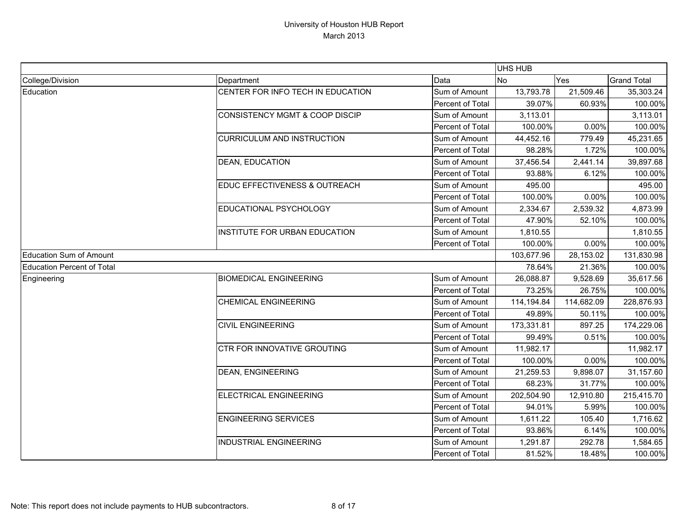|                                   |                                           |                  | UHS HUB    |            |                    |
|-----------------------------------|-------------------------------------------|------------------|------------|------------|--------------------|
| College/Division                  | Department                                | Data             | <b>No</b>  | Yes        | <b>Grand Total</b> |
| Education                         | CENTER FOR INFO TECH IN EDUCATION         | Sum of Amount    | 13,793.78  | 21,509.46  | 35,303.24          |
|                                   |                                           | Percent of Total | 39.07%     | 60.93%     | 100.00%            |
|                                   | <b>CONSISTENCY MGMT &amp; COOP DISCIP</b> | Sum of Amount    | 3,113.01   |            | 3,113.01           |
|                                   |                                           | Percent of Total | 100.00%    | 0.00%      | 100.00%            |
|                                   | <b>CURRICULUM AND INSTRUCTION</b>         | Sum of Amount    | 44,452.16  | 779.49     | 45,231.65          |
|                                   |                                           | Percent of Total | 98.28%     | 1.72%      | 100.00%            |
|                                   | <b>DEAN, EDUCATION</b>                    | Sum of Amount    | 37,456.54  | 2,441.14   | 39,897.68          |
|                                   |                                           | Percent of Total | 93.88%     | 6.12%      | 100.00%            |
|                                   | EDUC EFFECTIVENESS & OUTREACH             | Sum of Amount    | 495.00     |            | 495.00             |
|                                   |                                           | Percent of Total | 100.00%    | 0.00%      | 100.00%            |
|                                   | EDUCATIONAL PSYCHOLOGY                    | Sum of Amount    | 2,334.67   | 2,539.32   | 4,873.99           |
|                                   |                                           | Percent of Total | 47.90%     | 52.10%     | 100.00%            |
|                                   | <b>INSTITUTE FOR URBAN EDUCATION</b>      | Sum of Amount    | 1,810.55   |            | 1,810.55           |
|                                   |                                           | Percent of Total | 100.00%    | 0.00%      | 100.00%            |
| <b>Education Sum of Amount</b>    |                                           |                  | 103,677.96 | 28,153.02  | 131,830.98         |
| <b>Education Percent of Total</b> |                                           |                  | 78.64%     | 21.36%     | 100.00%            |
| Engineering                       | <b>BIOMEDICAL ENGINEERING</b>             | Sum of Amount    | 26,088.87  | 9,528.69   | 35,617.56          |
|                                   |                                           | Percent of Total | 73.25%     | 26.75%     | 100.00%            |
|                                   | <b>CHEMICAL ENGINEERING</b>               | Sum of Amount    | 114,194.84 | 114,682.09 | 228,876.93         |
|                                   |                                           | Percent of Total | 49.89%     | 50.11%     | 100.00%            |
|                                   | <b>CIVIL ENGINEERING</b>                  | Sum of Amount    | 173,331.81 | 897.25     | 174,229.06         |
|                                   |                                           | Percent of Total | 99.49%     | 0.51%      | 100.00%            |
|                                   | <b>CTR FOR INNOVATIVE GROUTING</b>        | Sum of Amount    | 11,982.17  |            | 11,982.17          |
|                                   |                                           | Percent of Total | 100.00%    | 0.00%      | 100.00%            |
|                                   | <b>DEAN, ENGINEERING</b>                  | Sum of Amount    | 21,259.53  | 9,898.07   | 31,157.60          |
|                                   |                                           | Percent of Total | 68.23%     | 31.77%     | 100.00%            |
|                                   | <b>ELECTRICAL ENGINEERING</b>             | Sum of Amount    | 202,504.90 | 12,910.80  | 215,415.70         |
|                                   |                                           | Percent of Total | 94.01%     | 5.99%      | 100.00%            |
|                                   | <b>ENGINEERING SERVICES</b>               | Sum of Amount    | 1,611.22   | 105.40     | 1,716.62           |
|                                   |                                           | Percent of Total | 93.86%     | 6.14%      | 100.00%            |
|                                   | <b>INDUSTRIAL ENGINEERING</b>             | Sum of Amount    | 1,291.87   | 292.78     | 1,584.65           |
|                                   |                                           | Percent of Total | 81.52%     | 18.48%     | 100.00%            |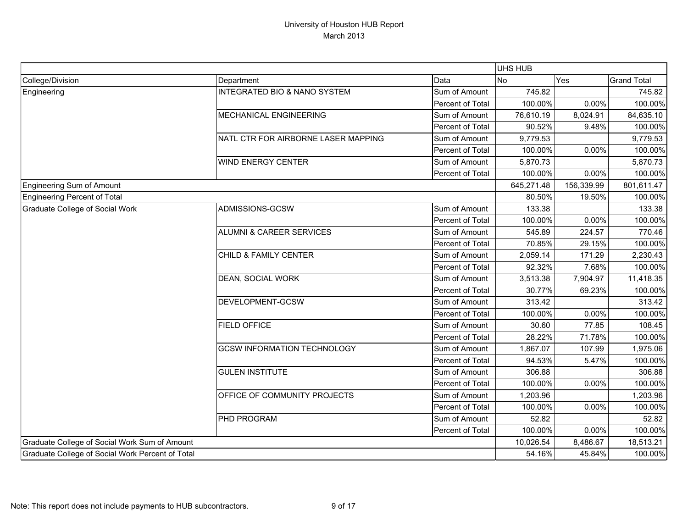|                                                  |                                         |                  | UHS HUB    |            |                    |
|--------------------------------------------------|-----------------------------------------|------------------|------------|------------|--------------------|
| College/Division                                 | Department                              | Data             | <b>No</b>  | Yes        | <b>Grand Total</b> |
| Engineering                                      | <b>INTEGRATED BIO &amp; NANO SYSTEM</b> | Sum of Amount    | 745.82     |            | 745.82             |
|                                                  |                                         | Percent of Total | 100.00%    | 0.00%      | 100.00%            |
|                                                  | <b>MECHANICAL ENGINEERING</b>           | Sum of Amount    | 76,610.19  | 8,024.91   | 84,635.10          |
|                                                  |                                         | Percent of Total | 90.52%     | 9.48%      | 100.00%            |
|                                                  | NATL CTR FOR AIRBORNE LASER MAPPING     | Sum of Amount    | 9,779.53   |            | 9,779.53           |
|                                                  |                                         | Percent of Total | 100.00%    | 0.00%      | 100.00%            |
|                                                  | <b>WIND ENERGY CENTER</b>               | Sum of Amount    | 5,870.73   |            | 5,870.73           |
|                                                  |                                         | Percent of Total | 100.00%    | 0.00%      | 100.00%            |
| Engineering Sum of Amount                        |                                         |                  | 645,271.48 | 156,339.99 | 801,611.47         |
| Engineering Percent of Total                     |                                         |                  | 80.50%     | 19.50%     | 100.00%            |
| Graduate College of Social Work                  | ADMISSIONS-GCSW                         | Sum of Amount    | 133.38     |            | 133.38             |
|                                                  |                                         | Percent of Total | 100.00%    | 0.00%      | 100.00%            |
|                                                  | <b>ALUMNI &amp; CAREER SERVICES</b>     | Sum of Amount    | 545.89     | 224.57     | 770.46             |
|                                                  |                                         | Percent of Total | 70.85%     | 29.15%     | 100.00%            |
|                                                  | <b>CHILD &amp; FAMILY CENTER</b>        | Sum of Amount    | 2,059.14   | 171.29     | 2,230.43           |
|                                                  |                                         | Percent of Total | 92.32%     | 7.68%      | 100.00%            |
|                                                  | <b>DEAN, SOCIAL WORK</b>                | Sum of Amount    | 3,513.38   | 7,904.97   | 11,418.35          |
|                                                  |                                         | Percent of Total | 30.77%     | 69.23%     | 100.00%            |
|                                                  | DEVELOPMENT-GCSW                        | Sum of Amount    | 313.42     |            | 313.42             |
|                                                  |                                         | Percent of Total | 100.00%    | 0.00%      | 100.00%            |
|                                                  | <b>FIELD OFFICE</b>                     | Sum of Amount    | 30.60      | 77.85      | 108.45             |
|                                                  |                                         | Percent of Total | 28.22%     | 71.78%     | 100.00%            |
|                                                  | <b>GCSW INFORMATION TECHNOLOGY</b>      | Sum of Amount    | 1,867.07   | 107.99     | 1,975.06           |
|                                                  |                                         | Percent of Total | 94.53%     | 5.47%      | 100.00%            |
|                                                  | <b>GULEN INSTITUTE</b>                  | Sum of Amount    | 306.88     |            | 306.88             |
|                                                  |                                         | Percent of Total | 100.00%    | 0.00%      | 100.00%            |
|                                                  | OFFICE OF COMMUNITY PROJECTS            | Sum of Amount    | 1,203.96   |            | 1,203.96           |
|                                                  |                                         | Percent of Total | 100.00%    | 0.00%      | 100.00%            |
|                                                  | PHD PROGRAM                             | Sum of Amount    | 52.82      |            | 52.82              |
|                                                  |                                         | Percent of Total | 100.00%    | 0.00%      | 100.00%            |
| Graduate College of Social Work Sum of Amount    |                                         |                  | 10,026.54  | 8,486.67   | 18,513.21          |
| Graduate College of Social Work Percent of Total |                                         |                  | 54.16%     | 45.84%     | 100.00%            |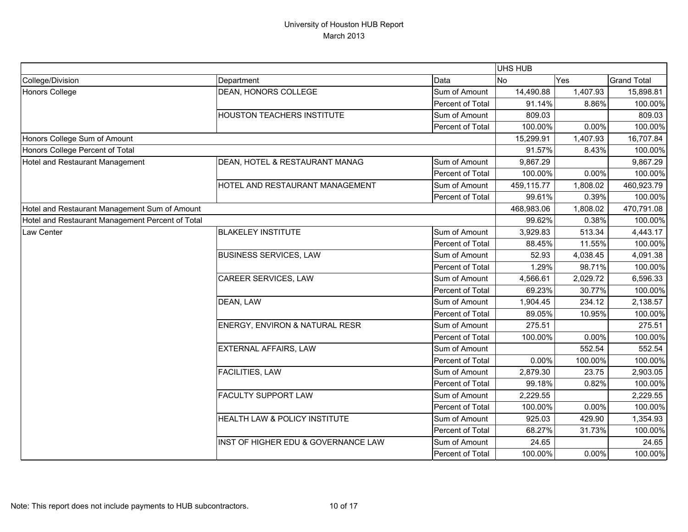|                                                  |                                     |                  | <b>UHS HUB</b> |          |                    |
|--------------------------------------------------|-------------------------------------|------------------|----------------|----------|--------------------|
| College/Division                                 | Department                          | Data             | <b>No</b>      | Yes      | <b>Grand Total</b> |
| Honors College                                   | <b>DEAN, HONORS COLLEGE</b>         | Sum of Amount    | 14,490.88      | 1,407.93 | 15,898.81          |
|                                                  |                                     | Percent of Total | 91.14%         | 8.86%    | 100.00%            |
|                                                  | <b>HOUSTON TEACHERS INSTITUTE</b>   | Sum of Amount    | 809.03         |          | 809.03             |
|                                                  |                                     | Percent of Total | 100.00%        | 0.00%    | 100.00%            |
| Honors College Sum of Amount                     |                                     |                  | 15,299.91      | 1,407.93 | 16,707.84          |
| Honors College Percent of Total                  |                                     |                  | 91.57%         | 8.43%    | 100.00%            |
| Hotel and Restaurant Management                  | DEAN, HOTEL & RESTAURANT MANAG      | Sum of Amount    | 9,867.29       |          | 9,867.29           |
|                                                  |                                     | Percent of Total | 100.00%        | 0.00%    | 100.00%            |
|                                                  | HOTEL AND RESTAURANT MANAGEMENT     | Sum of Amount    | 459,115.77     | 1,808.02 | 460,923.79         |
|                                                  |                                     | Percent of Total | 99.61%         | 0.39%    | 100.00%            |
| Hotel and Restaurant Management Sum of Amount    |                                     |                  | 468,983.06     | 1,808.02 | 470,791.08         |
| Hotel and Restaurant Management Percent of Total |                                     |                  | 99.62%         | 0.38%    | 100.00%            |
| Law Center                                       | <b>BLAKELEY INSTITUTE</b>           | Sum of Amount    | 3,929.83       | 513.34   | 4,443.17           |
|                                                  |                                     | Percent of Total | 88.45%         | 11.55%   | 100.00%            |
|                                                  | <b>BUSINESS SERVICES, LAW</b>       | Sum of Amount    | 52.93          | 4,038.45 | 4,091.38           |
|                                                  |                                     | Percent of Total | 1.29%          | 98.71%   | 100.00%            |
|                                                  | CAREER SERVICES, LAW                | Sum of Amount    | 4,566.61       | 2,029.72 | 6,596.33           |
|                                                  |                                     | Percent of Total | 69.23%         | 30.77%   | 100.00%            |
|                                                  | DEAN, LAW                           | Sum of Amount    | 1,904.45       | 234.12   | 2,138.57           |
|                                                  |                                     | Percent of Total | 89.05%         | 10.95%   | 100.00%            |
|                                                  | ENERGY, ENVIRON & NATURAL RESR      | Sum of Amount    | 275.51         |          | 275.51             |
|                                                  |                                     | Percent of Total | 100.00%        | 0.00%    | 100.00%            |
|                                                  | EXTERNAL AFFAIRS, LAW               | Sum of Amount    |                | 552.54   | 552.54             |
|                                                  |                                     | Percent of Total | 0.00%          | 100.00%  | 100.00%            |
|                                                  | <b>FACILITIES, LAW</b>              | Sum of Amount    | 2,879.30       | 23.75    | 2,903.05           |
|                                                  |                                     | Percent of Total | 99.18%         | 0.82%    | 100.00%            |
|                                                  | <b>FACULTY SUPPORT LAW</b>          | Sum of Amount    | 2,229.55       |          | 2,229.55           |
|                                                  |                                     | Percent of Total | 100.00%        | 0.00%    | 100.00%            |
|                                                  | HEALTH LAW & POLICY INSTITUTE       | Sum of Amount    | 925.03         | 429.90   | 1,354.93           |
|                                                  |                                     | Percent of Total | 68.27%         | 31.73%   | 100.00%            |
|                                                  | INST OF HIGHER EDU & GOVERNANCE LAW | Sum of Amount    | 24.65          |          | 24.65              |
|                                                  |                                     | Percent of Total | 100.00%        | 0.00%    | 100.00%            |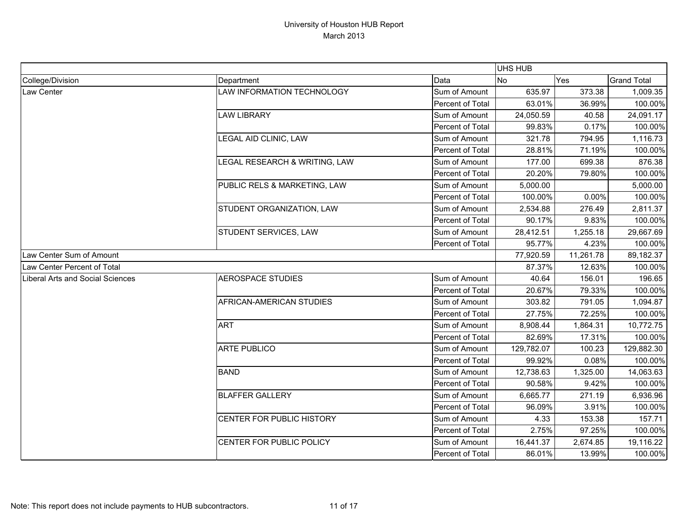|                                  |                                   |                  | UHS HUB    |           |                    |
|----------------------------------|-----------------------------------|------------------|------------|-----------|--------------------|
| College/Division                 | Department                        | Data             | <b>No</b>  | Yes       | <b>Grand Total</b> |
| <b>Law Center</b>                | <b>LAW INFORMATION TECHNOLOGY</b> | Sum of Amount    | 635.97     | 373.38    | 1,009.35           |
|                                  |                                   | Percent of Total | 63.01%     | 36.99%    | 100.00%            |
|                                  | <b>LAW LIBRARY</b>                | Sum of Amount    | 24,050.59  | 40.58     | 24,091.17          |
|                                  |                                   | Percent of Total | 99.83%     | 0.17%     | 100.00%            |
|                                  | LEGAL AID CLINIC, LAW             | Sum of Amount    | 321.78     | 794.95    | 1,116.73           |
|                                  |                                   | Percent of Total | 28.81%     | 71.19%    | 100.00%            |
|                                  | LEGAL RESEARCH & WRITING, LAW     | Sum of Amount    | 177.00     | 699.38    | 876.38             |
|                                  |                                   | Percent of Total | 20.20%     | 79.80%    | 100.00%            |
|                                  | PUBLIC RELS & MARKETING, LAW      | Sum of Amount    | 5,000.00   |           | 5,000.00           |
|                                  |                                   | Percent of Total | 100.00%    | 0.00%     | 100.00%            |
|                                  | STUDENT ORGANIZATION, LAW         | Sum of Amount    | 2,534.88   | 276.49    | 2,811.37           |
|                                  |                                   | Percent of Total | 90.17%     | 9.83%     | 100.00%            |
|                                  | STUDENT SERVICES, LAW             | Sum of Amount    | 28,412.51  | 1,255.18  | 29,667.69          |
|                                  |                                   | Percent of Total | 95.77%     | 4.23%     | 100.00%            |
| Law Center Sum of Amount         |                                   |                  | 77,920.59  | 11,261.78 | 89,182.37          |
| Law Center Percent of Total      |                                   |                  | 87.37%     | 12.63%    | 100.00%            |
| Liberal Arts and Social Sciences | <b>AEROSPACE STUDIES</b>          | Sum of Amount    | 40.64      | 156.01    | 196.65             |
|                                  |                                   | Percent of Total | 20.67%     | 79.33%    | 100.00%            |
|                                  | AFRICAN-AMERICAN STUDIES          | Sum of Amount    | 303.82     | 791.05    | 1,094.87           |
|                                  |                                   | Percent of Total | 27.75%     | 72.25%    | 100.00%            |
|                                  | <b>ART</b>                        | Sum of Amount    | 8,908.44   | 1,864.31  | 10,772.75          |
|                                  |                                   | Percent of Total | 82.69%     | 17.31%    | 100.00%            |
|                                  | <b>ARTE PUBLICO</b>               | Sum of Amount    | 129,782.07 | 100.23    | 129,882.30         |
|                                  |                                   | Percent of Total | 99.92%     | 0.08%     | 100.00%            |
|                                  | <b>BAND</b>                       | Sum of Amount    | 12,738.63  | 1,325.00  | 14,063.63          |
|                                  |                                   | Percent of Total | 90.58%     | 9.42%     | 100.00%            |
|                                  | <b>BLAFFER GALLERY</b>            | Sum of Amount    | 6,665.77   | 271.19    | 6,936.96           |
|                                  |                                   | Percent of Total | 96.09%     | 3.91%     | 100.00%            |
|                                  | CENTER FOR PUBLIC HISTORY         | Sum of Amount    | 4.33       | 153.38    | 157.71             |
|                                  |                                   | Percent of Total | 2.75%      | 97.25%    | 100.00%            |
|                                  | CENTER FOR PUBLIC POLICY          | Sum of Amount    | 16,441.37  | 2,674.85  | 19,116.22          |
|                                  |                                   | Percent of Total | 86.01%     | 13.99%    | 100.00%            |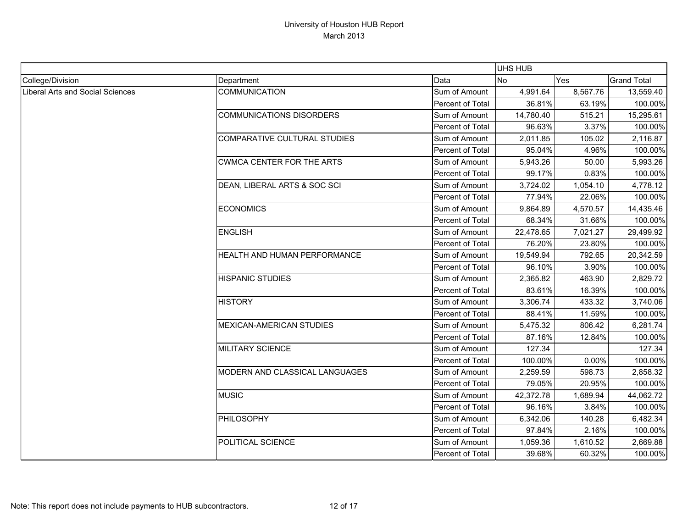|                                  |                                  |                         | <b>UHS HUB</b> |          |                    |
|----------------------------------|----------------------------------|-------------------------|----------------|----------|--------------------|
| College/Division                 | Department                       | Data                    | <b>No</b>      | Yes      | <b>Grand Total</b> |
| Liberal Arts and Social Sciences | <b>COMMUNICATION</b>             | Sum of Amount           | 4,991.64       | 8,567.76 | 13,559.40          |
|                                  |                                  | Percent of Total        | 36.81%         | 63.19%   | 100.00%            |
|                                  | <b>COMMUNICATIONS DISORDERS</b>  | Sum of Amount           | 14,780.40      | 515.21   | 15,295.61          |
|                                  |                                  | <b>Percent of Total</b> | 96.63%         | 3.37%    | 100.00%            |
|                                  | COMPARATIVE CULTURAL STUDIES     | Sum of Amount           | 2,011.85       | 105.02   | 2,116.87           |
|                                  |                                  | Percent of Total        | 95.04%         | 4.96%    | 100.00%            |
|                                  | <b>CWMCA CENTER FOR THE ARTS</b> | Sum of Amount           | 5,943.26       | 50.00    | 5,993.26           |
|                                  |                                  | Percent of Total        | 99.17%         | 0.83%    | 100.00%            |
|                                  | DEAN, LIBERAL ARTS & SOC SCI     | Sum of Amount           | 3,724.02       | 1,054.10 | 4,778.12           |
|                                  |                                  | Percent of Total        | 77.94%         | 22.06%   | 100.00%            |
|                                  | <b>ECONOMICS</b>                 | Sum of Amount           | 9,864.89       | 4,570.57 | 14,435.46          |
|                                  |                                  | Percent of Total        | 68.34%         | 31.66%   | 100.00%            |
|                                  | <b>ENGLISH</b>                   | Sum of Amount           | 22,478.65      | 7,021.27 | 29,499.92          |
|                                  |                                  | Percent of Total        | 76.20%         | 23.80%   | 100.00%            |
|                                  | HEALTH AND HUMAN PERFORMANCE     | Sum of Amount           | 19,549.94      | 792.65   | 20,342.59          |
|                                  |                                  | Percent of Total        | 96.10%         | 3.90%    | 100.00%            |
|                                  | <b>HISPANIC STUDIES</b>          | Sum of Amount           | 2,365.82       | 463.90   | 2,829.72           |
|                                  |                                  | Percent of Total        | 83.61%         | 16.39%   | 100.00%            |
|                                  | <b>HISTORY</b>                   | Sum of Amount           | 3,306.74       | 433.32   | 3,740.06           |
|                                  |                                  | Percent of Total        | 88.41%         | 11.59%   | 100.00%            |
|                                  | <b>MEXICAN-AMERICAN STUDIES</b>  | Sum of Amount           | 5,475.32       | 806.42   | 6,281.74           |
|                                  |                                  | Percent of Total        | 87.16%         | 12.84%   | 100.00%            |
|                                  | <b>MILITARY SCIENCE</b>          | Sum of Amount           | 127.34         |          | 127.34             |
|                                  |                                  | Percent of Total        | 100.00%        | 0.00%    | 100.00%            |
|                                  | MODERN AND CLASSICAL LANGUAGES   | Sum of Amount           | 2,259.59       | 598.73   | 2,858.32           |
|                                  |                                  | Percent of Total        | 79.05%         | 20.95%   | 100.00%            |
|                                  | <b>MUSIC</b>                     | Sum of Amount           | 42,372.78      | 1,689.94 | 44,062.72          |
|                                  |                                  | Percent of Total        | 96.16%         | 3.84%    | 100.00%            |
|                                  | <b>PHILOSOPHY</b>                | Sum of Amount           | 6,342.06       | 140.28   | 6,482.34           |
|                                  |                                  | Percent of Total        | 97.84%         | 2.16%    | 100.00%            |
|                                  | POLITICAL SCIENCE                | Sum of Amount           | 1,059.36       | 1,610.52 | 2,669.88           |
|                                  |                                  | Percent of Total        | 39.68%         | 60.32%   | 100.00%            |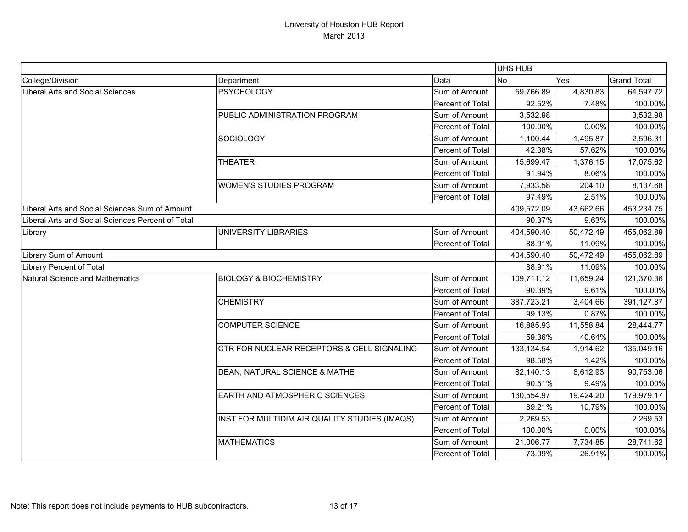|                                                   |                                               |                  | UHS HUB     |            |                    |
|---------------------------------------------------|-----------------------------------------------|------------------|-------------|------------|--------------------|
| College/Division                                  | Department                                    | Data             | <b>No</b>   | Yes        | <b>Grand Total</b> |
| Liberal Arts and Social Sciences                  | <b>PSYCHOLOGY</b>                             | Sum of Amount    | 59,766.89   | 4,830.83   | 64,597.72          |
|                                                   |                                               | Percent of Total | 92.52%      | 7.48%      | 100.00%            |
|                                                   | PUBLIC ADMINISTRATION PROGRAM                 | Sum of Amount    | 3,532.98    |            | 3,532.98           |
|                                                   |                                               | Percent of Total | 100.00%     | 0.00%      | 100.00%            |
|                                                   | <b>SOCIOLOGY</b>                              | Sum of Amount    | 1,100.44    | 1,495.87   | 2,596.31           |
|                                                   |                                               | Percent of Total | 42.38%      | 57.62%     | 100.00%            |
|                                                   | <b>THEATER</b>                                | Sum of Amount    | 15,699.47   | 1,376.15   | 17,075.62          |
|                                                   |                                               | Percent of Total | 91.94%      | 8.06%      | 100.00%            |
|                                                   | <b>WOMEN'S STUDIES PROGRAM</b>                | Sum of Amount    | 7,933.58    | 204.10     | 8,137.68           |
|                                                   |                                               | Percent of Total | 97.49%      | 2.51%      | 100.00%            |
| Liberal Arts and Social Sciences Sum of Amount    |                                               | 409,572.09       | 43,662.66   | 453,234.75 |                    |
| Liberal Arts and Social Sciences Percent of Total |                                               |                  | 90.37%      | 9.63%      | 100.00%            |
| Library                                           | UNIVERSITY LIBRARIES                          | Sum of Amount    | 404,590.40  | 50,472.49  | 455,062.89         |
|                                                   |                                               | Percent of Total | 88.91%      | 11.09%     | 100.00%            |
| Library Sum of Amount                             |                                               |                  | 404,590.40  | 50,472.49  | 455,062.89         |
| <b>Library Percent of Total</b>                   |                                               |                  | 88.91%      | 11.09%     | 100.00%            |
| Natural Science and Mathematics                   | <b>BIOLOGY &amp; BIOCHEMISTRY</b>             | Sum of Amount    | 109,711.12  | 11,659.24  | 121,370.36         |
|                                                   |                                               | Percent of Total | 90.39%      | 9.61%      | 100.00%            |
|                                                   | <b>CHEMISTRY</b>                              | Sum of Amount    | 387,723.21  | 3,404.66   | 391,127.87         |
|                                                   |                                               | Percent of Total | 99.13%      | 0.87%      | 100.00%            |
|                                                   | <b>COMPUTER SCIENCE</b>                       | Sum of Amount    | 16,885.93   | 11,558.84  | 28,444.77          |
|                                                   |                                               | Percent of Total | 59.36%      | 40.64%     | 100.00%            |
|                                                   | CTR FOR NUCLEAR RECEPTORS & CELL SIGNALING    | Sum of Amount    | 133, 134.54 | 1,914.62   | 135,049.16         |
|                                                   |                                               | Percent of Total | 98.58%      | 1.42%      | 100.00%            |
|                                                   | DEAN, NATURAL SCIENCE & MATHE                 | Sum of Amount    | 82,140.13   | 8,612.93   | 90,753.06          |
|                                                   |                                               | Percent of Total | 90.51%      | 9.49%      | 100.00%            |
|                                                   | <b>EARTH AND ATMOSPHERIC SCIENCES</b>         | Sum of Amount    | 160,554.97  | 19,424.20  | 179,979.17         |
|                                                   |                                               | Percent of Total | 89.21%      | 10.79%     | 100.00%            |
|                                                   | INST FOR MULTIDIM AIR QUALITY STUDIES (IMAQS) | Sum of Amount    | 2,269.53    |            | 2,269.53           |
|                                                   |                                               | Percent of Total | 100.00%     | 0.00%      | 100.00%            |
|                                                   | <b>MATHEMATICS</b>                            | Sum of Amount    | 21,006.77   | 7,734.85   | 28,741.62          |
|                                                   |                                               | Percent of Total | 73.09%      | 26.91%     | 100.00%            |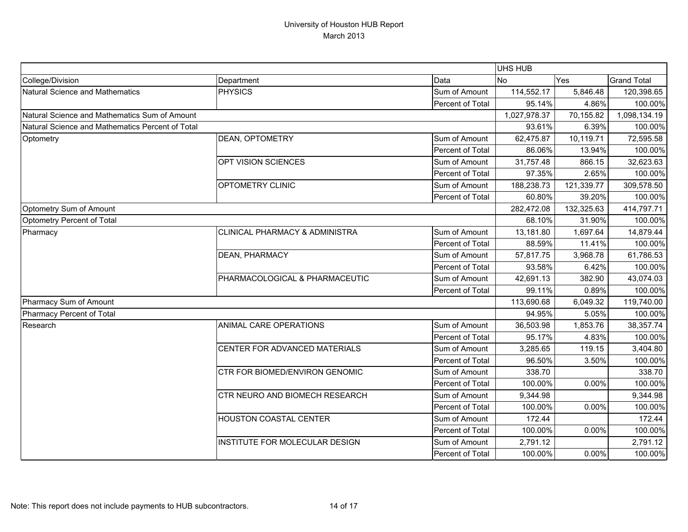|                                                  |                                           |                  | UHS HUB      |            |                    |
|--------------------------------------------------|-------------------------------------------|------------------|--------------|------------|--------------------|
| College/Division                                 | Department                                | Data             | <b>No</b>    | Yes        | <b>Grand Total</b> |
| Natural Science and Mathematics                  | <b>PHYSICS</b>                            | Sum of Amount    | 114,552.17   | 5,846.48   | 120,398.65         |
|                                                  |                                           | Percent of Total | 95.14%       | 4.86%      | 100.00%            |
| Natural Science and Mathematics Sum of Amount    |                                           |                  | 1,027,978.37 | 70,155.82  | 1,098,134.19       |
| Natural Science and Mathematics Percent of Total |                                           |                  | 93.61%       | 6.39%      | 100.00%            |
| Optometry                                        | <b>DEAN, OPTOMETRY</b>                    | Sum of Amount    | 62,475.87    | 10,119.71  | 72,595.58          |
|                                                  |                                           | Percent of Total | 86.06%       | 13.94%     | 100.00%            |
|                                                  | OPT VISION SCIENCES                       | Sum of Amount    | 31,757.48    | 866.15     | 32,623.63          |
|                                                  |                                           | Percent of Total | 97.35%       | 2.65%      | 100.00%            |
|                                                  | OPTOMETRY CLINIC                          | Sum of Amount    | 188,238.73   | 121,339.77 | 309,578.50         |
|                                                  |                                           | Percent of Total | 60.80%       | 39.20%     | 100.00%            |
| Optometry Sum of Amount                          |                                           |                  | 282,472.08   | 132,325.63 | 414,797.71         |
| Optometry Percent of Total                       |                                           |                  | 68.10%       | 31.90%     | 100.00%            |
| Pharmacy                                         | <b>CLINICAL PHARMACY &amp; ADMINISTRA</b> | Sum of Amount    | 13,181.80    | 1,697.64   | 14,879.44          |
|                                                  |                                           | Percent of Total | 88.59%       | 11.41%     | 100.00%            |
|                                                  | <b>DEAN, PHARMACY</b>                     | Sum of Amount    | 57,817.75    | 3,968.78   | 61,786.53          |
|                                                  |                                           | Percent of Total | 93.58%       | 6.42%      | 100.00%            |
|                                                  | PHARMACOLOGICAL & PHARMACEUTIC            | Sum of Amount    | 42,691.13    | 382.90     | 43,074.03          |
|                                                  |                                           | Percent of Total | 99.11%       | 0.89%      | 100.00%            |
| Pharmacy Sum of Amount                           |                                           |                  | 113,690.68   | 6,049.32   | 119,740.00         |
| Pharmacy Percent of Total                        |                                           |                  | 94.95%       | 5.05%      | 100.00%            |
| Research                                         | ANIMAL CARE OPERATIONS                    | Sum of Amount    | 36,503.98    | 1,853.76   | 38,357.74          |
|                                                  |                                           | Percent of Total | 95.17%       | 4.83%      | 100.00%            |
|                                                  | CENTER FOR ADVANCED MATERIALS             | Sum of Amount    | 3,285.65     | 119.15     | 3,404.80           |
|                                                  |                                           | Percent of Total | 96.50%       | 3.50%      | 100.00%            |
|                                                  | CTR FOR BIOMED/ENVIRON GENOMIC            | Sum of Amount    | 338.70       |            | 338.70             |
|                                                  |                                           | Percent of Total | 100.00%      | 0.00%      | 100.00%            |
|                                                  | CTR NEURO AND BIOMECH RESEARCH            | Sum of Amount    | 9,344.98     |            | 9,344.98           |
|                                                  |                                           | Percent of Total | 100.00%      | 0.00%      | 100.00%            |
|                                                  | <b>HOUSTON COASTAL CENTER</b>             | Sum of Amount    | 172.44       |            | 172.44             |
|                                                  |                                           | Percent of Total | 100.00%      | 0.00%      | 100.00%            |
|                                                  | INSTITUTE FOR MOLECULAR DESIGN            | Sum of Amount    | 2,791.12     |            | 2,791.12           |
|                                                  |                                           | Percent of Total | 100.00%      | 0.00%      | 100.00%            |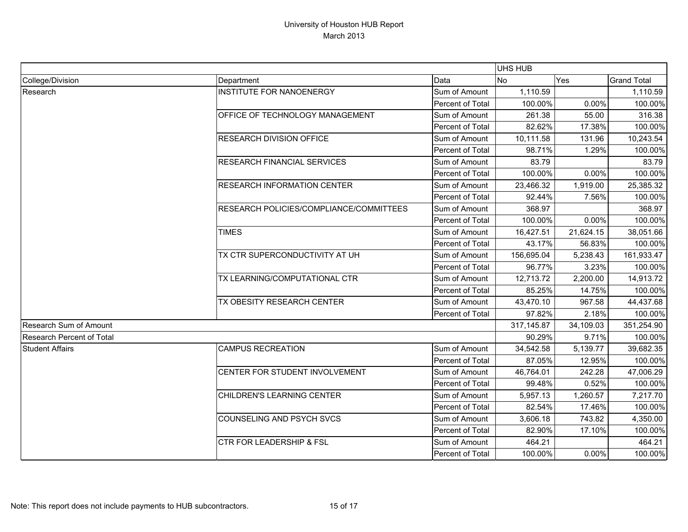|                                  |                                         |                                                          |            | UHS HUB           |                    |  |  |
|----------------------------------|-----------------------------------------|----------------------------------------------------------|------------|-------------------|--------------------|--|--|
| College/Division                 | Department                              | Data                                                     | <b>No</b>  | Yes               | <b>Grand Total</b> |  |  |
| Research                         | <b>INSTITUTE FOR NANOENERGY</b>         | Sum of Amount                                            | 1,110.59   |                   | 1,110.59           |  |  |
|                                  |                                         | Percent of Total                                         | 100.00%    | 0.00%             | 100.00%            |  |  |
|                                  | OFFICE OF TECHNOLOGY MANAGEMENT         | Sum of Amount                                            | 261.38     | 55.00             | 316.38             |  |  |
|                                  |                                         | Percent of Total                                         | 82.62%     | 17.38%            | 100.00%            |  |  |
|                                  | <b>RESEARCH DIVISION OFFICE</b>         | Sum of Amount                                            | 10,111.58  | 131.96            | 10,243.54          |  |  |
|                                  |                                         | Percent of Total                                         | 98.71%     | 1.29%             | 100.00%            |  |  |
|                                  | <b>RESEARCH FINANCIAL SERVICES</b>      | Sum of Amount                                            | 83.79      |                   | 83.79              |  |  |
|                                  |                                         | Percent of Total                                         | 100.00%    | 0.00%             | 100.00%            |  |  |
|                                  | <b>RESEARCH INFORMATION CENTER</b>      | Sum of Amount                                            | 23,466.32  | 1,919.00          | 25,385.32          |  |  |
|                                  |                                         | Percent of Total                                         | 92.44%     | 7.56%             | 100.00%            |  |  |
|                                  | RESEARCH POLICIES/COMPLIANCE/COMMITTEES | Sum of Amount                                            | 368.97     |                   | 368.97             |  |  |
|                                  |                                         | Percent of Total                                         | 100.00%    | 0.00%             | 100.00%            |  |  |
|                                  | <b>TIMES</b>                            | 16,427.51<br>Sum of Amount<br>Percent of Total<br>43.17% | 21,624.15  | 38,051.66         |                    |  |  |
|                                  |                                         |                                                          |            | 56.83%            | 100.00%            |  |  |
|                                  | TX CTR SUPERCONDUCTIVITY AT UH          | Sum of Amount                                            | 156,695.04 | 5,238.43<br>3.23% | 161,933.47         |  |  |
|                                  |                                         | Percent of Total                                         | 96.77%     | 100.00%           |                    |  |  |
|                                  | TX LEARNING/COMPUTATIONAL CTR           | Sum of Amount                                            | 12,713.72  | 2,200.00          | 14,913.72          |  |  |
|                                  |                                         | Percent of Total                                         | 85.25%     | 14.75%            | 100.00%            |  |  |
|                                  | TX OBESITY RESEARCH CENTER              | Sum of Amount                                            | 43,470.10  | 967.58            | 44,437.68          |  |  |
|                                  |                                         | Percent of Total                                         | 97.82%     | 2.18%             | 100.00%            |  |  |
| Research Sum of Amount           |                                         | 317,145.87                                               | 34,109.03  | 351,254.90        |                    |  |  |
| <b>Research Percent of Total</b> |                                         |                                                          | 90.29%     | 9.71%             | 100.00%            |  |  |
| <b>Student Affairs</b>           | <b>CAMPUS RECREATION</b>                | Sum of Amount                                            | 34,542.58  | 5,139.77          | 39,682.35          |  |  |
|                                  |                                         | Percent of Total                                         | 87.05%     | 12.95%            | 100.00%            |  |  |
|                                  | CENTER FOR STUDENT INVOLVEMENT          | Sum of Amount                                            | 46,764.01  | 242.28            | 47,006.29          |  |  |
|                                  |                                         | Percent of Total                                         | 99.48%     | 0.52%             | 100.00%            |  |  |
|                                  | CHILDREN'S LEARNING CENTER              | Sum of Amount                                            | 5,957.13   | 1,260.57          | 7,217.70           |  |  |
|                                  |                                         | Percent of Total                                         | 82.54%     | 17.46%            | 100.00%            |  |  |
|                                  | <b>COUNSELING AND PSYCH SVCS</b>        | Sum of Amount                                            | 3,606.18   | 743.82            | 4,350.00           |  |  |
|                                  |                                         | Percent of Total                                         | 82.90%     | 17.10%            | 100.00%            |  |  |
|                                  | <b>CTR FOR LEADERSHIP &amp; FSL</b>     | Sum of Amount                                            | 464.21     |                   | 464.21             |  |  |
|                                  |                                         | Percent of Total                                         | 100.00%    | 0.00%             | 100.00%            |  |  |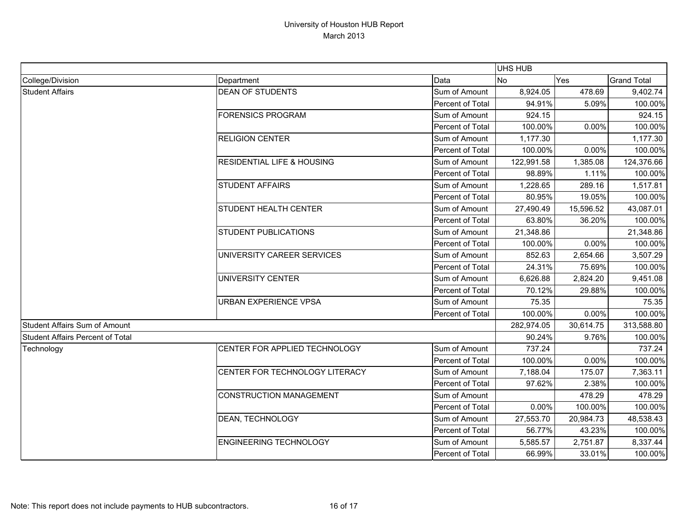|                                  |                                       |                  | <b>UHS HUB</b> |                              |                    |
|----------------------------------|---------------------------------------|------------------|----------------|------------------------------|--------------------|
| College/Division                 | Department                            | Data             | <b>No</b>      | Yes                          | <b>Grand Total</b> |
| <b>Student Affairs</b>           | <b>DEAN OF STUDENTS</b>               | Sum of Amount    | 8,924.05       | 478.69                       | 9,402.74           |
|                                  |                                       | Percent of Total | 94.91%         | 5.09%                        | 100.00%            |
|                                  | <b>FORENSICS PROGRAM</b>              | Sum of Amount    | 924.15         |                              | 924.15             |
|                                  |                                       | Percent of Total | 100.00%        | 0.00%                        | 100.00%            |
|                                  | <b>RELIGION CENTER</b>                | Sum of Amount    | 1,177.30       |                              | 1,177.30           |
|                                  |                                       | Percent of Total | 100.00%        | 0.00%                        | 100.00%            |
|                                  | <b>RESIDENTIAL LIFE &amp; HOUSING</b> | Sum of Amount    | 122,991.58     | 1,385.08                     | 124,376.66         |
|                                  |                                       | Percent of Total | 98.89%         | 1.11%                        | 100.00%            |
|                                  | <b>STUDENT AFFAIRS</b>                | Sum of Amount    | 1,228.65       | 289.16                       | 1,517.81           |
|                                  |                                       | Percent of Total | 80.95%         | 19.05%                       | 100.00%            |
|                                  | <b>STUDENT HEALTH CENTER</b>          | Sum of Amount    | 27,490.49      | 15,596.52                    | 43,087.01          |
|                                  |                                       | Percent of Total | 63.80%         | 36.20%                       | 100.00%            |
|                                  | <b>STUDENT PUBLICATIONS</b>           | Sum of Amount    | 21,348.86      |                              | 21,348.86          |
|                                  |                                       | Percent of Total | 100.00%        | 0.00%                        | 100.00%            |
|                                  | UNIVERSITY CAREER SERVICES            | Sum of Amount    | 852.63         | 2,654.66                     | 3,507.29           |
|                                  |                                       | Percent of Total | 24.31%         |                              | 100.00%            |
|                                  | UNIVERSITY CENTER                     | Sum of Amount    | 6,626.88       | 75.69%<br>2,824.20<br>29.88% | 9,451.08           |
|                                  |                                       | Percent of Total | 70.12%         |                              | 100.00%            |
|                                  | <b>URBAN EXPERIENCE VPSA</b>          | Sum of Amount    | 75.35          |                              | 75.35              |
|                                  |                                       | Percent of Total | 100.00%        | 0.00%                        | 100.00%            |
| Student Affairs Sum of Amount    |                                       | 282,974.05       | 30,614.75      | 313,588.80                   |                    |
| Student Affairs Percent of Total |                                       |                  | 90.24%         | 9.76%                        | 100.00%            |
| Technology                       | CENTER FOR APPLIED TECHNOLOGY         | Sum of Amount    | 737.24         |                              | 737.24             |
|                                  |                                       | Percent of Total | 100.00%        | 0.00%                        | 100.00%            |
|                                  | <b>CENTER FOR TECHNOLOGY LITERACY</b> | Sum of Amount    | 7,188.04       | 175.07                       | 7,363.11           |
|                                  |                                       | Percent of Total | 97.62%         | 2.38%                        | 100.00%            |
|                                  | CONSTRUCTION MANAGEMENT               | Sum of Amount    |                | 478.29                       | 478.29             |
|                                  |                                       | Percent of Total | 0.00%          | 100.00%                      | 100.00%            |
|                                  | <b>DEAN, TECHNOLOGY</b>               | Sum of Amount    | 27,553.70      | 20,984.73                    | 48,538.43          |
|                                  |                                       | Percent of Total | 56.77%         | 43.23%                       | 100.00%            |
|                                  | <b>ENGINEERING TECHNOLOGY</b>         | Sum of Amount    | 5,585.57       | 2,751.87                     | 8,337.44           |
|                                  |                                       | Percent of Total | 66.99%         | 33.01%                       | 100.00%            |